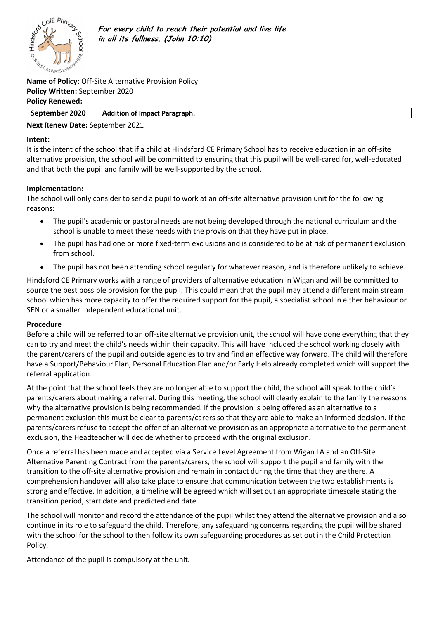

**For every child to reach their potential and live life in all its fullness. (John 10:10)**

**Name of Policy:** Off-Site Alternative Provision Policy **Policy Written:** September 2020 **Policy Renewed:**

## **September 2020 Addition of Impact Paragraph.**

# **Next Renew Date:** September 2021

#### **Intent:**

It is the intent of the school that if a child at Hindsford CE Primary School has to receive education in an off-site alternative provision, the school will be committed to ensuring that this pupil will be well-cared for, well-educated and that both the pupil and family will be well-supported by the school.

### **Implementation:**

The school will only consider to send a pupil to work at an off-site alternative provision unit for the following reasons:

- The pupil's academic or pastoral needs are not being developed through the national curriculum and the school is unable to meet these needs with the provision that they have put in place.
- The pupil has had one or more fixed-term exclusions and is considered to be at risk of permanent exclusion from school.
- The pupil has not been attending school regularly for whatever reason, and is therefore unlikely to achieve.

Hindsford CE Primary works with a range of providers of alternative education in Wigan and will be committed to source the best possible provision for the pupil. This could mean that the pupil may attend a different main stream school which has more capacity to offer the required support for the pupil, a specialist school in either behaviour or SEN or a smaller independent educational unit.

### **Procedure**

Before a child will be referred to an off-site alternative provision unit, the school will have done everything that they can to try and meet the child's needs within their capacity. This will have included the school working closely with the parent/carers of the pupil and outside agencies to try and find an effective way forward. The child will therefore have a Support/Behaviour Plan, Personal Education Plan and/or Early Help already completed which will support the referral application.

At the point that the school feels they are no longer able to support the child, the school will speak to the child's parents/carers about making a referral. During this meeting, the school will clearly explain to the family the reasons why the alternative provision is being recommended. If the provision is being offered as an alternative to a permanent exclusion this must be clear to parents/carers so that they are able to make an informed decision. If the parents/carers refuse to accept the offer of an alternative provision as an appropriate alternative to the permanent exclusion, the Headteacher will decide whether to proceed with the original exclusion.

Once a referral has been made and accepted via a Service Level Agreement from Wigan LA and an Off-Site Alternative Parenting Contract from the parents/carers, the school will support the pupil and family with the transition to the off-site alternative provision and remain in contact during the time that they are there. A comprehension handover will also take place to ensure that communication between the two establishments is strong and effective. In addition, a timeline will be agreed which will set out an appropriate timescale stating the transition period, start date and predicted end date.

The school will monitor and record the attendance of the pupil whilst they attend the alternative provision and also continue in its role to safeguard the child. Therefore, any safeguarding concerns regarding the pupil will be shared with the school for the school to then follow its own safeguarding procedures as set out in the Child Protection Policy.

Attendance of the pupil is compulsory at the unit.